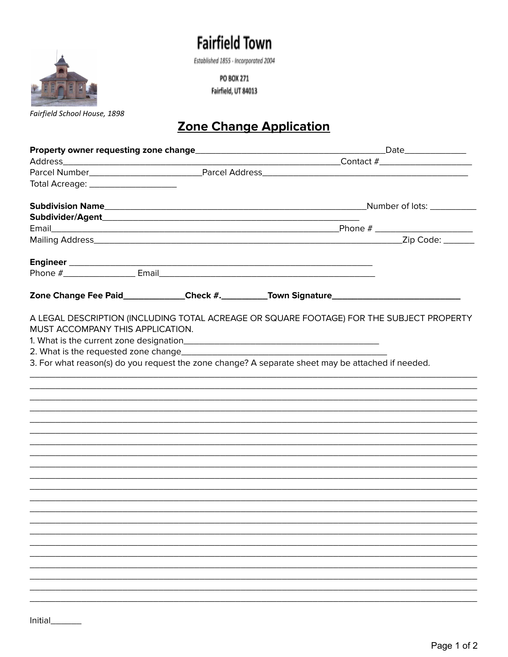## **Fairfield Town**

Established 1855 - Incorporated 2004

PO BOX 271 Fairfield, UT 84013



## Zone Change Application

| Total Acreage: ____________________<br>Zone Change Fee Paid_____________Check #.__________Town Signature___________________________________<br>A LEGAL DESCRIPTION (INCLUDING TOTAL ACREAGE OR SQUARE FOOTAGE) FOR THE SUBJECT PROPERTY<br>MUST ACCOMPANY THIS APPLICATION.<br>3. For what reason(s) do you request the zone change? A separate sheet may be attached if needed. |  |  | Date______________ |  |
|----------------------------------------------------------------------------------------------------------------------------------------------------------------------------------------------------------------------------------------------------------------------------------------------------------------------------------------------------------------------------------|--|--|--------------------|--|
|                                                                                                                                                                                                                                                                                                                                                                                  |  |  |                    |  |
|                                                                                                                                                                                                                                                                                                                                                                                  |  |  |                    |  |
|                                                                                                                                                                                                                                                                                                                                                                                  |  |  |                    |  |
|                                                                                                                                                                                                                                                                                                                                                                                  |  |  |                    |  |
|                                                                                                                                                                                                                                                                                                                                                                                  |  |  |                    |  |
|                                                                                                                                                                                                                                                                                                                                                                                  |  |  |                    |  |
|                                                                                                                                                                                                                                                                                                                                                                                  |  |  |                    |  |
|                                                                                                                                                                                                                                                                                                                                                                                  |  |  |                    |  |
|                                                                                                                                                                                                                                                                                                                                                                                  |  |  |                    |  |
|                                                                                                                                                                                                                                                                                                                                                                                  |  |  |                    |  |
|                                                                                                                                                                                                                                                                                                                                                                                  |  |  |                    |  |
|                                                                                                                                                                                                                                                                                                                                                                                  |  |  |                    |  |
|                                                                                                                                                                                                                                                                                                                                                                                  |  |  |                    |  |
|                                                                                                                                                                                                                                                                                                                                                                                  |  |  |                    |  |
|                                                                                                                                                                                                                                                                                                                                                                                  |  |  |                    |  |
|                                                                                                                                                                                                                                                                                                                                                                                  |  |  |                    |  |
|                                                                                                                                                                                                                                                                                                                                                                                  |  |  |                    |  |
|                                                                                                                                                                                                                                                                                                                                                                                  |  |  |                    |  |
|                                                                                                                                                                                                                                                                                                                                                                                  |  |  |                    |  |
|                                                                                                                                                                                                                                                                                                                                                                                  |  |  |                    |  |
|                                                                                                                                                                                                                                                                                                                                                                                  |  |  |                    |  |
|                                                                                                                                                                                                                                                                                                                                                                                  |  |  |                    |  |
|                                                                                                                                                                                                                                                                                                                                                                                  |  |  |                    |  |
|                                                                                                                                                                                                                                                                                                                                                                                  |  |  |                    |  |
|                                                                                                                                                                                                                                                                                                                                                                                  |  |  |                    |  |
|                                                                                                                                                                                                                                                                                                                                                                                  |  |  |                    |  |
|                                                                                                                                                                                                                                                                                                                                                                                  |  |  |                    |  |
|                                                                                                                                                                                                                                                                                                                                                                                  |  |  |                    |  |
|                                                                                                                                                                                                                                                                                                                                                                                  |  |  |                    |  |
|                                                                                                                                                                                                                                                                                                                                                                                  |  |  |                    |  |
|                                                                                                                                                                                                                                                                                                                                                                                  |  |  |                    |  |
|                                                                                                                                                                                                                                                                                                                                                                                  |  |  |                    |  |
|                                                                                                                                                                                                                                                                                                                                                                                  |  |  |                    |  |
|                                                                                                                                                                                                                                                                                                                                                                                  |  |  |                    |  |
|                                                                                                                                                                                                                                                                                                                                                                                  |  |  |                    |  |
|                                                                                                                                                                                                                                                                                                                                                                                  |  |  |                    |  |
|                                                                                                                                                                                                                                                                                                                                                                                  |  |  |                    |  |
|                                                                                                                                                                                                                                                                                                                                                                                  |  |  |                    |  |

i.